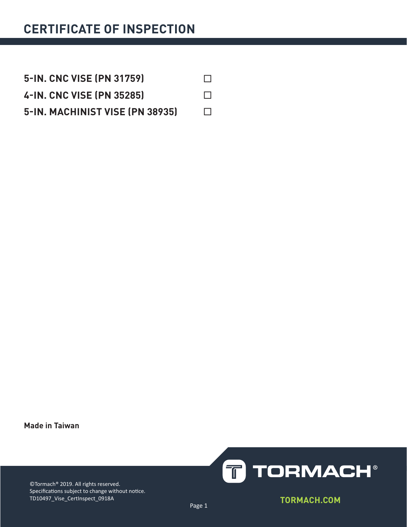| <b>5-IN. CNC VISE (PN 31759)</b> | $\overline{1}$ |
|----------------------------------|----------------|
| 4-IN. CNC VISE (PN 35285)        | $\mathcal{L}$  |
| 5-IN. MACHINIST VISE (PN 38935)  | $\Box$         |

**Made in Taiwan**



©Tormach® 2019. All rights reserved. Specifications subject to change without notice. TD10497\_Vise\_CertInspect\_0918A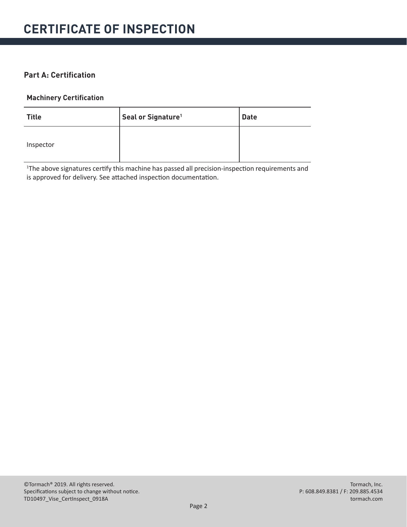#### **Part A: Certification**

#### **Machinery Certification**

| <b>Title</b> | Seal or Signature <sup>1</sup> | <b>Date</b> |
|--------------|--------------------------------|-------------|
| Inspector    |                                |             |

<sup>1</sup>The above signatures certify this machine has passed all precision-inspection requirements and is approved for delivery. See attached inspection documentation.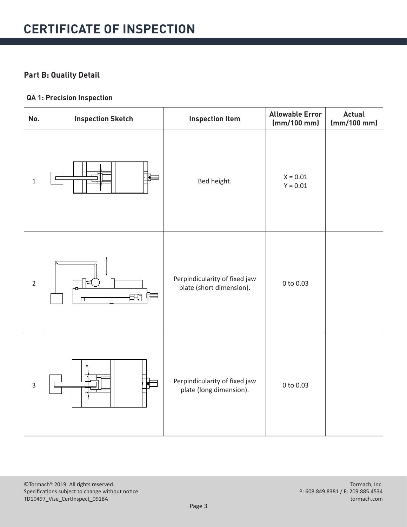### **Part B: Quality Detail**

#### **QA 1: Precision Inspection**

| No.            | <b>Inspection Sketch</b> | <b>Inspection Item</b>                                    | <b>Allowable Error</b><br>(mm/100 mm) | <b>Actual</b><br>(mm/100 mm) |
|----------------|--------------------------|-----------------------------------------------------------|---------------------------------------|------------------------------|
| $\mathbf 1$    |                          | Bed height.                                               | $X = 0.01$<br>$Y = 0.01$              |                              |
| $\overline{2}$ | 田<br>□                   | Perpindicularity of fixed jaw<br>plate (short dimension). | 0 to 0.03                             |                              |
| $\mathsf 3$    |                          | Perpindicularity of fixed jaw<br>plate (long dimension).  | 0 to 0.03                             |                              |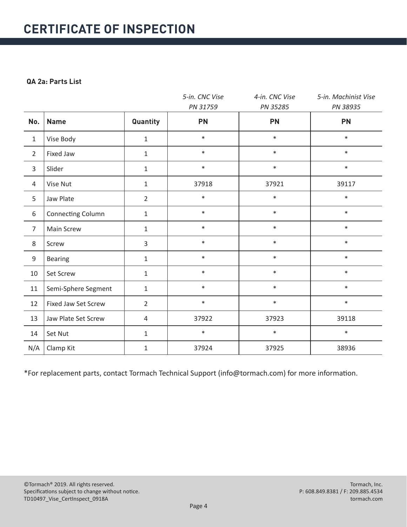#### **QA 2a: Parts List**

|                |                     |                | 5-in. CNC Vise | 4-in. CNC Vise | 5-in. Machinist Vise |
|----------------|---------------------|----------------|----------------|----------------|----------------------|
|                |                     |                | PN 31759       | PN 35285       | PN 38935             |
| No.            | <b>Name</b>         | Quantity       | <b>PN</b>      | <b>PN</b>      | <b>PN</b>            |
| $\mathbf{1}$   | Vise Body           | $\mathbf{1}$   | $\ast$         | $\ast$         | $\ast$               |
| $\overline{2}$ | Fixed Jaw           | $\mathbf{1}$   | $\ast$         | $\ast$         | $\ast$               |
| 3              | Slider              | $\mathbf{1}$   | $\ast$         | $\ast$         | $\ast$               |
| $\overline{4}$ | Vise Nut            | $\mathbf{1}$   | 37918          | 37921          | 39117                |
| 5              | Jaw Plate           | $\overline{2}$ | $\ast$         | $\ast$         | $\ast$               |
| 6              | Connecting Column   | $\mathbf{1}$   | $\ast$         | $\ast$         | $\ast$               |
| $\overline{7}$ | Main Screw          | $\mathbf{1}$   | $\ast$         | $\ast$         | $\ast$               |
| 8              | Screw               | $\overline{3}$ | $\ast$         | $\ast$         | $\ast$               |
| 9              | <b>Bearing</b>      | $\mathbf{1}$   | $\ast$         | $\ast$         | $\ast$               |
| 10             | Set Screw           | $\mathbf{1}$   | $\ast$         | $\ast$         | $\ast$               |
| 11             | Semi-Sphere Segment | $\mathbf{1}$   | $\ast$         | $\ast$         | $\ast$               |
| 12             | Fixed Jaw Set Screw | $\overline{2}$ | $\ast$         | $\ast$         | $\ast$               |
| 13             | Jaw Plate Set Screw | 4              | 37922          | 37923          | 39118                |
| 14             | Set Nut             | $\mathbf{1}$   | $\ast$         | $\ast$         | $\ast$               |
| N/A            | Clamp Kit           | $\mathbf{1}$   | 37924          | 37925          | 38936                |

\*For replacement parts, contact Tormach Technical Support (info@tormach.com) for more information.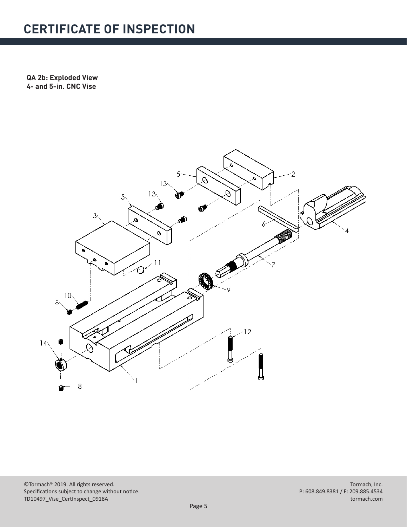**QA 2b: Exploded View 4- and 5-in. CNC Vise**